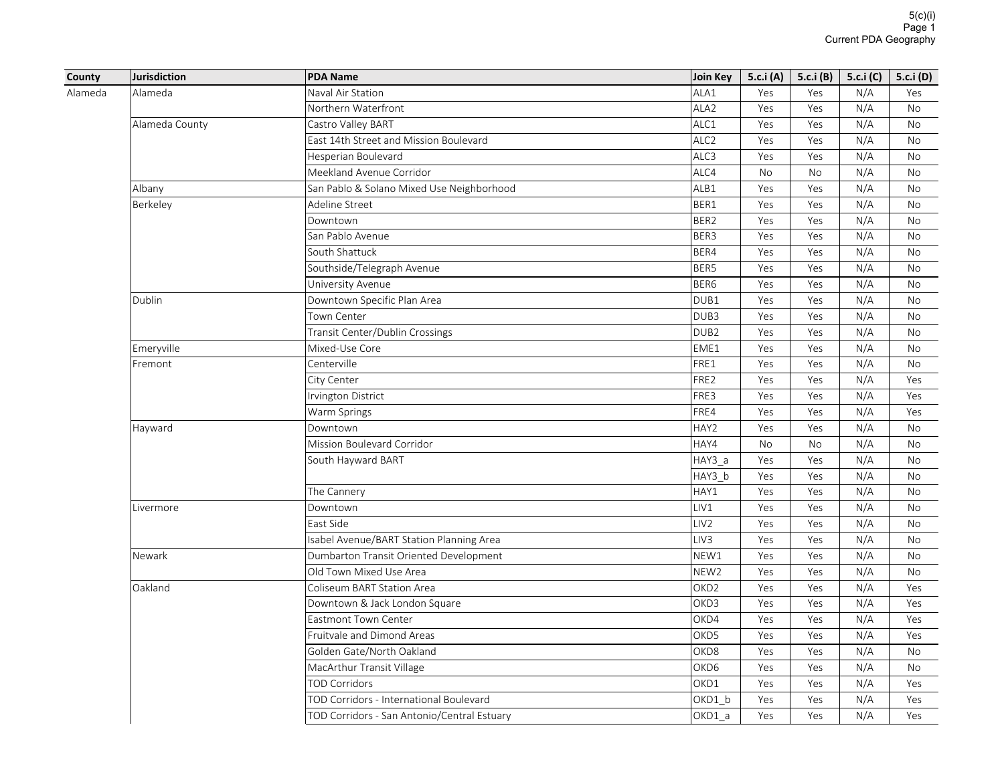| County  | Jurisdiction   | <b>PDA Name</b>                             | Join Key         | 5.c.i (A) $\vert$ | 5.c.i (B) | 5.c.i $(C)$ | 5.c.i (D) |
|---------|----------------|---------------------------------------------|------------------|-------------------|-----------|-------------|-----------|
| Alameda | Alameda        | Naval Air Station                           | ALA1             | Yes               | Yes       | N/A         | Yes       |
|         |                | Northern Waterfront                         | ALA <sub>2</sub> | Yes               | Yes       | N/A         | No        |
|         | Alameda County | Castro Valley BART                          | ALC1             | Yes               | Yes       | N/A         | <b>No</b> |
|         |                | East 14th Street and Mission Boulevard      | ALC <sub>2</sub> | Yes               | Yes       | N/A         | No        |
|         |                | Hesperian Boulevard                         | ALC3             | Yes               | Yes       | N/A         | No        |
|         |                | Meekland Avenue Corridor                    | ALC4             | No                | No        | N/A         | No        |
|         | Albany         | San Pablo & Solano Mixed Use Neighborhood   | ALB1             | Yes               | Yes       | N/A         | No        |
|         | Berkeley       | Adeline Street                              | BER1             | Yes               | Yes       | N/A         | <b>No</b> |
|         |                | Downtown                                    | BER <sub>2</sub> | Yes               | Yes       | N/A         | No        |
|         |                | San Pablo Avenue                            | BER3             | Yes               | Yes       | N/A         | No        |
|         |                | South Shattuck                              | BER4             | Yes               | Yes       | N/A         | No        |
|         |                | Southside/Telegraph Avenue                  | BER5             | Yes               | Yes       | N/A         | <b>No</b> |
|         |                | University Avenue                           | BER6             | Yes               | Yes       | N/A         | No        |
|         | Dublin         | Downtown Specific Plan Area                 | DUB1             | Yes               | Yes       | N/A         | No        |
|         |                | Town Center                                 | DUB3             | Yes               | Yes       | N/A         | No        |
|         |                | Transit Center/Dublin Crossings             | DUB <sub>2</sub> | Yes               | Yes       | N/A         | <b>No</b> |
|         | Emeryville     | Mixed-Use Core                              | EME1             | Yes               | Yes       | N/A         | No        |
|         | Fremont        | Centerville                                 | FRE1             | Yes               | Yes       | N/A         | <b>No</b> |
|         |                | City Center                                 | FRE2             | Yes               | Yes       | N/A         | Yes       |
|         |                | Irvington District                          | FRE3             | Yes               | Yes       | N/A         | Yes       |
|         |                | Warm Springs                                | FRE4             | Yes               | Yes       | N/A         | Yes       |
|         | Hayward        | Downtown                                    | HAY2             | Yes               | Yes       | N/A         | No        |
|         |                | Mission Boulevard Corridor                  | HAY4             | <b>No</b>         | No        | N/A         | <b>No</b> |
|         |                | South Hayward BART                          | HAY3_a           | Yes               | Yes       | N/A         | No        |
|         |                |                                             | HAY3_b           | Yes               | Yes       | N/A         | No        |
|         |                | The Cannery                                 | HAY1             | Yes               | Yes       | N/A         | No        |
|         | Livermore      | Downtown                                    | LIV1             | Yes               | Yes       | N/A         | <b>No</b> |
|         |                | East Side                                   | LIV <sub>2</sub> | Yes               | Yes       | N/A         | No        |
|         |                | Isabel Avenue/BART Station Planning Area    | LIV3             | Yes               | Yes       | N/A         | <b>No</b> |
|         | Newark         | Dumbarton Transit Oriented Development      | NEW1             | Yes               | Yes       | N/A         | No        |
|         |                | Old Town Mixed Use Area                     | NEW <sub>2</sub> | Yes               | Yes       | N/A         | <b>No</b> |
|         | Oakland        | Coliseum BART Station Area                  | OKD <sub>2</sub> | Yes               | Yes       | N/A         | Yes       |
|         |                | Downtown & Jack London Square               | OKD3             | Yes               | Yes       | N/A         | Yes       |
|         |                | <b>Eastmont Town Center</b>                 | OKD4             | Yes               | Yes       | N/A         | Yes       |
|         |                | Fruitvale and Dimond Areas                  | OKD5             | Yes               | Yes       | N/A         | Yes       |
|         |                | Golden Gate/North Oakland                   | OKD8             | Yes               | Yes       | N/A         | No        |
|         |                | MacArthur Transit Village                   | OKD6             | Yes               | Yes       | N/A         | No        |
|         |                | <b>TOD Corridors</b>                        | OKD1             | Yes               | Yes       | N/A         | Yes       |
|         |                | TOD Corridors - International Boulevard     | OKD1 b           | Yes               | Yes       | N/A         | Yes       |
|         |                | TOD Corridors - San Antonio/Central Estuary | OKD1 a           | Yes               | Yes       | N/A         | Yes       |
|         |                |                                             |                  |                   |           |             |           |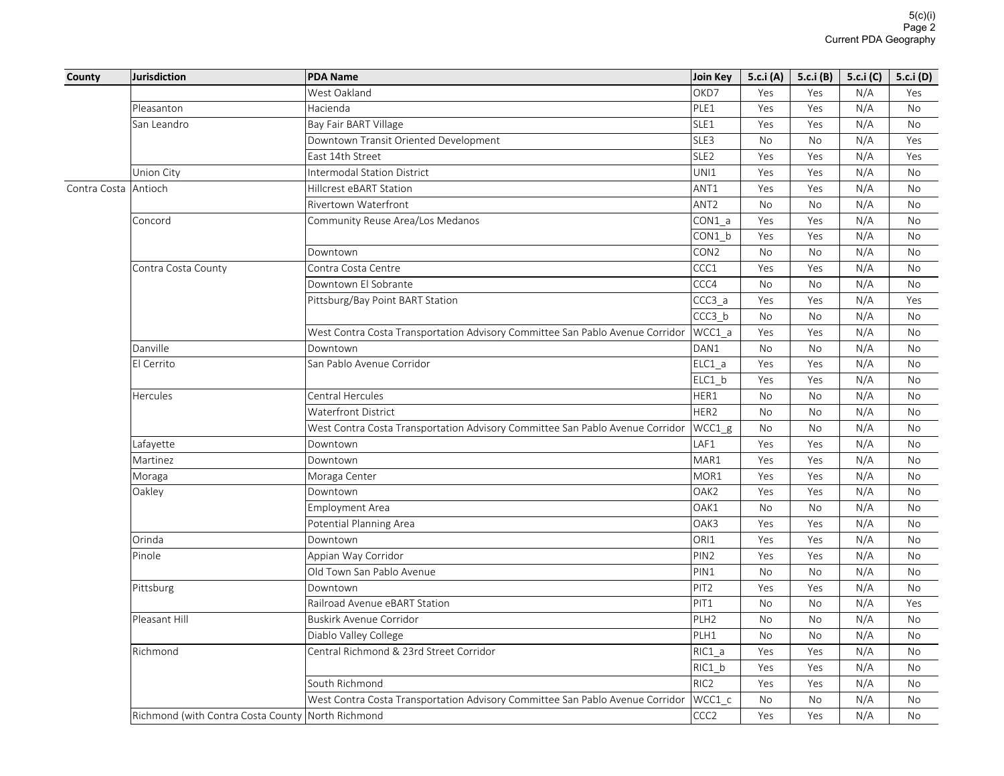| County       | Jurisdiction                                        | <b>PDA Name</b>                                                               | Join Key         | 5.c.i (A) | 5.c.i (B) |     | 5.c.i (C)   5.c.i (D) |
|--------------|-----------------------------------------------------|-------------------------------------------------------------------------------|------------------|-----------|-----------|-----|-----------------------|
|              |                                                     | West Oakland                                                                  | OKD7             | Yes       | Yes       | N/A | Yes                   |
|              | Pleasanton                                          | Hacienda                                                                      | PLE1             | Yes       | Yes       | N/A | <b>No</b>             |
|              | San Leandro                                         | Bay Fair BART Village                                                         | SLE1             | Yes       | Yes       | N/A | <b>No</b>             |
|              |                                                     | Downtown Transit Oriented Development                                         | SLE3             | No        | No        | N/A | Yes                   |
|              |                                                     | East 14th Street                                                              | SLE <sub>2</sub> | Yes       | Yes       | N/A | Yes                   |
|              | Union City                                          | <b>Intermodal Station District</b>                                            | UNI1             | Yes       | Yes       | N/A | <b>No</b>             |
| Contra Costa | Antioch                                             | Hillcrest eBART Station                                                       | ANT1             | Yes       | Yes       | N/A | <b>No</b>             |
|              |                                                     | Rivertown Waterfront                                                          | ANT <sub>2</sub> | No        | No        | N/A | No                    |
|              | Concord                                             | Community Reuse Area/Los Medanos                                              | CON1 a           | Yes       | Yes       | N/A | <b>No</b>             |
|              |                                                     |                                                                               | CON1_b           | Yes       | Yes       | N/A | No                    |
|              |                                                     | Downtown                                                                      | CON <sub>2</sub> | No        | No        | N/A | No                    |
|              | Contra Costa County                                 | Contra Costa Centre                                                           | CCC1             | Yes       | Yes       | N/A | No                    |
|              |                                                     | Downtown El Sobrante                                                          | CCC4             | <b>No</b> | <b>No</b> | N/A | <b>No</b>             |
|              |                                                     | Pittsburg/Bay Point BART Station                                              | CCC3 a           | Yes       | Yes       | N/A | Yes                   |
|              |                                                     |                                                                               | CCC3 b           | No        | No        | N/A | No                    |
|              |                                                     | West Contra Costa Transportation Advisory Committee San Pablo Avenue Corridor | $WCC1_a$         | Yes       | Yes       | N/A | No                    |
|              | Danville                                            | Downtown                                                                      | DAN1             | No        | No        | N/A | <b>No</b>             |
|              | El Cerrito                                          | San Pablo Avenue Corridor                                                     | ELC1 a           | Yes       | Yes       | N/A | No                    |
|              |                                                     |                                                                               | ELC1 b           | Yes       | Yes       | N/A | <b>No</b>             |
|              | <b>Hercules</b>                                     | Central Hercules                                                              | HER1             | <b>No</b> | <b>No</b> | N/A | <b>No</b>             |
|              |                                                     | Waterfront District                                                           | HER2             | No        | No        | N/A | No                    |
|              |                                                     | West Contra Costa Transportation Advisory Committee San Pablo Avenue Corridor | WCC1_g           | No        | No        | N/A | No                    |
|              | Lafayette                                           | Downtown                                                                      | LAF1             | Yes       | Yes       | N/A | <b>No</b>             |
|              | Martinez                                            | Downtown                                                                      | MAR1             | Yes       | Yes       | N/A | <b>No</b>             |
|              | Moraga                                              | Moraga Center                                                                 | MOR1             | Yes       | Yes       | N/A | No                    |
|              | Oakley                                              | Downtown                                                                      | OAK2             | Yes       | Yes       | N/A | <b>No</b>             |
|              |                                                     | <b>Employment Area</b>                                                        | OAK1             | <b>No</b> | <b>No</b> | N/A | <b>No</b>             |
|              |                                                     | Potential Planning Area                                                       | OAK3             | Yes       | Yes       | N/A | <b>No</b>             |
|              | Orinda                                              | Downtown                                                                      | ORI1             | Yes       | Yes       | N/A | No                    |
|              | Pinole                                              | Appian Way Corridor                                                           | PIN <sub>2</sub> | Yes       | Yes       | N/A | <b>No</b>             |
|              |                                                     | Old Town San Pablo Avenue                                                     | PIN1             | <b>No</b> | <b>No</b> | N/A | <b>No</b>             |
|              | Pittsburg                                           | Downtown                                                                      | PIT <sub>2</sub> | Yes       | Yes       | N/A | <b>No</b>             |
|              |                                                     | Railroad Avenue eBART Station                                                 | PIT1             | No        | No        | N/A | Yes                   |
|              | Pleasant Hill                                       | <b>Buskirk Avenue Corridor</b>                                                | PLH <sub>2</sub> | <b>No</b> | <b>No</b> | N/A | <b>No</b>             |
|              |                                                     | Diablo Valley College                                                         | PLH1             | No        | No        | N/A | No                    |
|              | Richmond                                            | Central Richmond & 23rd Street Corridor                                       | $RIC1_a$         | Yes       | Yes       | N/A | <b>No</b>             |
|              |                                                     |                                                                               | $RIC1_b$         | Yes       | Yes       | N/A | No                    |
|              |                                                     | South Richmond                                                                | RIC <sub>2</sub> | Yes       | Yes       | N/A | <b>No</b>             |
|              |                                                     | West Contra Costa Transportation Advisory Committee San Pablo Avenue Corridor | WCC1 c           | No        | No        | N/A | No                    |
|              | Richmond (with Contra Costa County   North Richmond |                                                                               | CCC <sub>2</sub> | Yes       | Yes       | N/A | <b>No</b>             |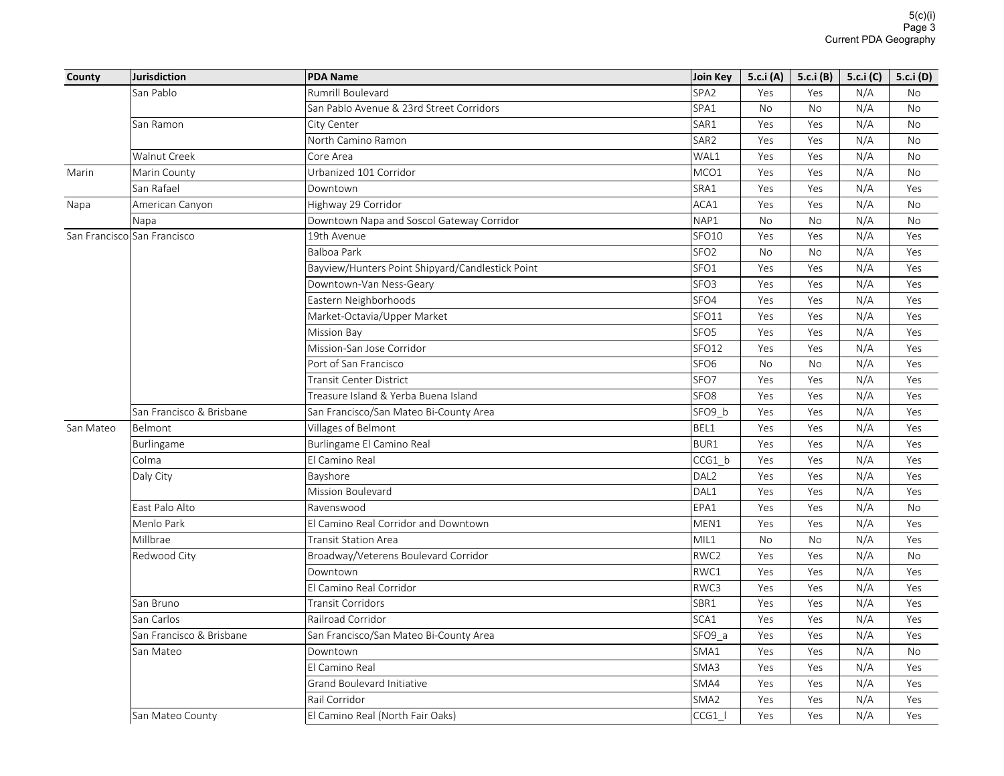| County    | Jurisdiction                | <b>PDA Name</b>                                  | Join Key         | 5.c.i (A) | 5.c.i (B) | 5.c.i (C) | 5.c.i (D) |
|-----------|-----------------------------|--------------------------------------------------|------------------|-----------|-----------|-----------|-----------|
|           | San Pablo                   | <b>Rumrill Boulevard</b>                         | SPA <sub>2</sub> | Yes       | Yes       | N/A       | <b>No</b> |
|           |                             | San Pablo Avenue & 23rd Street Corridors         | SPA1             | <b>No</b> | No        | N/A       | <b>No</b> |
|           | San Ramon                   | City Center                                      | SAR1             | Yes       | Yes       | N/A       | No        |
|           |                             | North Camino Ramon                               | SAR <sub>2</sub> | Yes       | Yes       | N/A       | <b>No</b> |
|           | Walnut Creek                | Core Area                                        | WAL1             | Yes       | Yes       | N/A       | No        |
| Marin     | Marin County                | Urbanized 101 Corridor                           | MCO1             | Yes       | Yes       | N/A       | <b>No</b> |
|           | San Rafael                  | Downtown                                         | SRA1             | Yes       | Yes       | N/A       | Yes       |
| Napa      | American Canyon             | Highway 29 Corridor                              | ACA1             | Yes       | Yes       | N/A       | <b>No</b> |
|           | Napa                        | Downtown Napa and Soscol Gateway Corridor        | NAP1             | <b>No</b> | No        | N/A       | <b>No</b> |
|           | San Francisco San Francisco | 19th Avenue                                      | SFO10            | Yes       | Yes       | N/A       | Yes       |
|           |                             | <b>Balboa Park</b>                               | SFO <sub>2</sub> | <b>No</b> | No        | N/A       | Yes       |
|           |                             | Bayview/Hunters Point Shipyard/Candlestick Point | SFO1             | Yes       | Yes       | N/A       | Yes       |
|           |                             | Downtown-Van Ness-Geary                          | SFO <sub>3</sub> | Yes       | Yes       | N/A       | Yes       |
|           |                             | Eastern Neighborhoods                            | SFO4             | Yes       | Yes       | N/A       | Yes       |
|           |                             | Market-Octavia/Upper Market                      | SFO11            | Yes       | Yes       | N/A       | Yes       |
|           |                             | Mission Bay                                      | SFO <sub>5</sub> | Yes       | Yes       | N/A       | Yes       |
|           |                             | Mission-San Jose Corridor                        | <b>SFO12</b>     | Yes       | Yes       | N/A       | Yes       |
|           |                             | Port of San Francisco                            | SFO <sub>6</sub> | No        | No        | N/A       | Yes       |
|           |                             | Transit Center District                          | SFO7             | Yes       | Yes       | N/A       | Yes       |
|           |                             | Treasure Island & Yerba Buena Island             | SFO <sub>8</sub> | Yes       | Yes       | N/A       | Yes       |
|           | San Francisco & Brisbane    | San Francisco/San Mateo Bi-County Area           | SFO9_b           | Yes       | Yes       | N/A       | Yes       |
| San Mateo | Belmont                     | Villages of Belmont                              | BEL1             | Yes       | Yes       | N/A       | Yes       |
|           | <b>Burlingame</b>           | Burlingame El Camino Real                        | BUR1             | Yes       | Yes       | N/A       | Yes       |
|           | Colma                       | El Camino Real                                   | CCG1 b           | Yes       | Yes       | N/A       | Yes       |
|           | Daly City                   | Bayshore                                         | DAL <sub>2</sub> | Yes       | Yes       | N/A       | Yes       |
|           |                             | Mission Boulevard                                | DAL1             | Yes       | Yes       | N/A       | Yes       |
|           | East Palo Alto              | Ravenswood                                       | EPA1             | Yes       | Yes       | N/A       | No        |
|           | Menlo Park                  | El Camino Real Corridor and Downtown             | MEN1             | Yes       | Yes       | N/A       | Yes       |
|           | Millbrae                    | Transit Station Area                             | MIL1             | No        | No        | N/A       | Yes       |
|           | Redwood City                | Broadway/Veterens Boulevard Corridor             | RWC2             | Yes       | Yes       | N/A       | <b>No</b> |
|           |                             | Downtown                                         | RWC1             | Yes       | Yes       | N/A       | Yes       |
|           |                             | El Camino Real Corridor                          | RWC3             | Yes       | Yes       | N/A       | Yes       |
|           | San Bruno                   | <b>Transit Corridors</b>                         | SBR1             | Yes       | Yes       | N/A       | Yes       |
|           | San Carlos                  | Railroad Corridor                                | SCA1             | Yes       | Yes       | N/A       | Yes       |
|           | San Francisco & Brisbane    | San Francisco/San Mateo Bi-County Area           | SFO9 a           | Yes       | Yes       | N/A       | Yes       |
|           | San Mateo                   | Downtown                                         | SMA1             | Yes       | Yes       | N/A       | <b>No</b> |
|           |                             | El Camino Real                                   | SMA3             | Yes       | Yes       | N/A       | Yes       |
|           |                             | Grand Boulevard Initiative                       | SMA4             | Yes       | Yes       | N/A       | Yes       |
|           |                             | Rail Corridor                                    | SMA <sub>2</sub> | Yes       | Yes       | N/A       | Yes       |
|           | San Mateo County            | El Camino Real (North Fair Oaks)                 | CCG1             | Yes       | Yes       | N/A       | Yes       |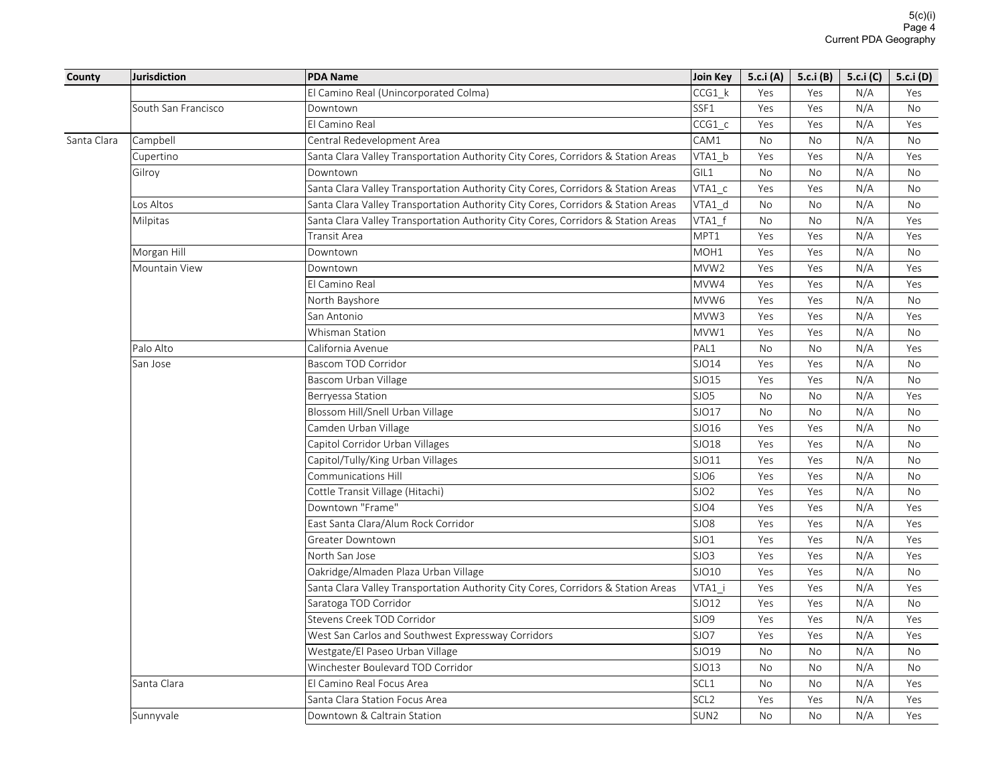| County      | <b>Jurisdiction</b> | <b>PDA Name</b>                                                                   | Join Key         | 5.c.i (A) | 5.c.i (B) $\vert$ | 5.c.i $(C)$ | 5.c.i (D) |
|-------------|---------------------|-----------------------------------------------------------------------------------|------------------|-----------|-------------------|-------------|-----------|
|             |                     | El Camino Real (Unincorporated Colma)                                             | CCG1 k           | Yes       | Yes               | N/A         | Yes       |
|             | South San Francisco | Downtown                                                                          | SSF1             | Yes       | Yes               | N/A         | No        |
|             |                     | El Camino Real                                                                    | CCG1 c           | Yes       | Yes               | N/A         | Yes       |
| Santa Clara | Campbell            | Central Redevelopment Area                                                        | CAM1             | No        | No                | N/A         | <b>No</b> |
|             | Cupertino           | Santa Clara Valley Transportation Authority City Cores, Corridors & Station Areas | VTA1_b           | Yes       | Yes               | N/A         | Yes       |
|             | Gilroy              | Downtown                                                                          | GIL1             | No        | <b>No</b>         | N/A         | <b>No</b> |
|             |                     | Santa Clara Valley Transportation Authority City Cores, Corridors & Station Areas | VTA1_c           | Yes       | Yes               | N/A         | No        |
|             | Los Altos           | Santa Clara Valley Transportation Authority City Cores, Corridors & Station Areas | VTA1 d           | <b>No</b> | <b>No</b>         | N/A         | No        |
|             | Milpitas            | Santa Clara Valley Transportation Authority City Cores, Corridors & Station Areas | VTA1 f           | No        | No                | N/A         | Yes       |
|             |                     | Transit Area                                                                      | MPT1             | Yes       | Yes               | N/A         | Yes       |
|             | Morgan Hill         | Downtown                                                                          | MOH1             | Yes       | Yes               | N/A         | No        |
|             | Mountain View       | Downtown                                                                          | MVW <sub>2</sub> | Yes       | Yes               | N/A         | Yes       |
|             |                     | El Camino Real                                                                    | MVW4             | Yes       | Yes               | N/A         | Yes       |
|             |                     | North Bayshore                                                                    | MVW6             | Yes       | Yes               | N/A         | <b>No</b> |
|             |                     | San Antonio                                                                       | MVW3             | Yes       | Yes               | N/A         | Yes       |
|             |                     | Whisman Station                                                                   | MVW1             | Yes       | Yes               | N/A         | <b>No</b> |
|             | Palo Alto           | California Avenue                                                                 | PAL1             | No        | No                | N/A         | Yes       |
|             | San Jose            | Bascom TOD Corridor                                                               | SJO14            | Yes       | Yes               | N/A         | <b>No</b> |
|             |                     | Bascom Urban Village                                                              | SJO15            | Yes       | Yes               | N/A         | <b>No</b> |
|             |                     | Berryessa Station                                                                 | SJO5             | <b>No</b> | <b>No</b>         | N/A         | Yes       |
|             |                     | Blossom Hill/Snell Urban Village                                                  | SJO17            | No        | No                | N/A         | No        |
|             |                     | Camden Urban Village                                                              | SJO16            | Yes       | Yes               | N/A         | No        |
|             |                     | Capitol Corridor Urban Villages                                                   | SJO18            | Yes       | Yes               | N/A         | <b>No</b> |
|             |                     | Capitol/Tully/King Urban Villages                                                 | SJO11            | Yes       | Yes               | N/A         | No        |
|             |                     | Communications Hill                                                               | SJO6             | Yes       | Yes               | N/A         | <b>No</b> |
|             |                     | Cottle Transit Village (Hitachi)                                                  | SJO <sub>2</sub> | Yes       | Yes               | N/A         | No        |
|             |                     | Downtown "Frame"                                                                  | SJO4             | Yes       | Yes               | N/A         | Yes       |
|             |                     | East Santa Clara/Alum Rock Corridor                                               | SJO8             | Yes       | Yes               | N/A         | Yes       |
|             |                     | Greater Downtown                                                                  | SJO1             | Yes       | Yes               | N/A         | Yes       |
|             |                     | North San Jose                                                                    | SJO3             | Yes       | Yes               | N/A         | Yes       |
|             |                     | Oakridge/Almaden Plaza Urban Village                                              | SJO10            | Yes       | Yes               | N/A         | <b>No</b> |
|             |                     | Santa Clara Valley Transportation Authority City Cores, Corridors & Station Areas | VTA1_i           | Yes       | Yes               | N/A         | Yes       |
|             |                     | Saratoga TOD Corridor                                                             | SJO12            | Yes       | Yes               | N/A         | <b>No</b> |
|             |                     | Stevens Creek TOD Corridor                                                        | SJO9             | Yes       | Yes               | N/A         | Yes       |
|             |                     | West San Carlos and Southwest Expressway Corridors                                | SJO7             | Yes       | Yes               | N/A         | Yes       |
|             |                     | Westgate/El Paseo Urban Village                                                   | SJO19            | No        | No                | N/A         | <b>No</b> |
|             |                     | Winchester Boulevard TOD Corridor                                                 | SJO13            | No        | No                | N/A         | No        |
|             | Santa Clara         | El Camino Real Focus Area                                                         | SCL1             | No        | <b>No</b>         | N/A         | Yes       |
|             |                     | Santa Clara Station Focus Area                                                    | SCL <sub>2</sub> | Yes       | Yes               | N/A         | Yes       |
|             | Sunnyvale           | Downtown & Caltrain Station                                                       | SUN <sub>2</sub> | <b>No</b> | <b>No</b>         | N/A         | Yes       |
|             |                     |                                                                                   |                  |           |                   |             |           |